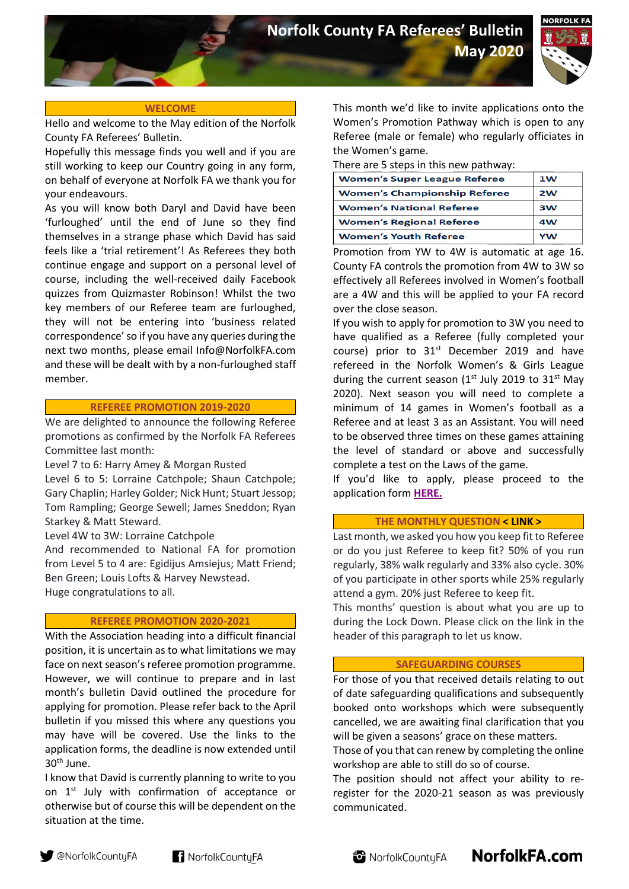**May 2020**



# **WELCOME**

Hello and welcome to the May edition of the Norfolk County FA Referees' Bulletin.

Hopefully this message finds you well and if you are still working to keep our Country going in any form, on behalf of everyone at Norfolk FA we thank you for your endeavours.

As you will know both Daryl and David have been 'furloughed' until the end of June so they find themselves in a strange phase which David has said feels like a 'trial retirement'! As Referees they both continue engage and support on a personal level of course, including the well-received daily Facebook quizzes from Quizmaster Robinson! Whilst the two key members of our Referee team are furloughed, they will not be entering into 'business related correspondence' so if you have any queries during the next two months, please email [Info@NorfolkFA.com](mailto:Info@NorfolkFA.com) and these will be dealt with by a non-furloughed staff member.

## **REFEREE PROMOTION 2019-2020**

We are delighted to announce the following Referee promotions as confirmed by the Norfolk FA Referees Committee last month:

Level 7 to 6: Harry Amey & Morgan Rusted

Level 6 to 5: Lorraine Catchpole; Shaun Catchpole; Gary Chaplin; Harley Golder; Nick Hunt; Stuart Jessop; Tom Rampling; George Sewell; James Sneddon; Ryan Starkey & Matt Steward.

Level 4W to 3W: Lorraine Catchpole

And recommended to National FA for promotion from Level 5 to 4 are: Egidijus Amsiejus; Matt Friend; Ben Green; Louis Lofts & Harvey Newstead. Huge congratulations to all.

#### **REFEREE PROMOTION 2020-2021**

With the Association heading into a difficult financial position, it is uncertain as to what limitations we may face on next season's referee promotion programme. However, we will continue to prepare and in last month's bulletin David outlined the procedure for applying for promotion. Please refer back to the April bulletin if you missed this where any questions you may have will be covered. Use the links to the application forms, the deadline is now extended until 30th June.

I know that David is currently planning to write to you on 1<sup>st</sup> July with confirmation of acceptance or otherwise but of course this will be dependent on the situation at the time.

This month we'd like to invite applications onto the Women's Promotion Pathway which is open to any Referee (male or female) who regularly officiates in the Women's game.

There are 5 steps in this new pathway:

| <b>Women's Super League Referee</b> | 1 <sub>W</sub> |
|-------------------------------------|----------------|
| <b>Women's Championship Referee</b> | 2W             |
| <b>Women's National Referee</b>     | 3W             |
| <b>Women's Regional Referee</b>     | 4W             |
| <b>Women's Youth Referee</b>        | <b>YW</b>      |

Promotion from YW to 4W is automatic at age 16. County FA controls the promotion from 4W to 3W so effectively all Referees involved in Women's football are a 4W and this will be applied to your FA record over the close season.

If you wish to apply for promotion to 3W you need to have qualified as a Referee (fully completed your course) prior to  $31<sup>st</sup>$  December 2019 and have refereed in the Norfolk Women's & Girls League during the current season ( $1<sup>st</sup>$  July 2019 to 31 $<sup>st</sup>$  May</sup> 2020). Next season you will need to complete a minimum of 14 games in Women's football as a Referee and at least 3 as an Assistant. You will need to be observed three times on these games attaining the level of standard or above and successfully complete a test on the Laws of the game.

If you'd like to apply, please proceed to the application form **[HERE.](https://forms.office.com/Pages/ResponsePage.aspx?id=kCXJRcbM-UaA_5_I2e3eOfUi1o_hPdFJnpgJIQR7wcBUOEgwTVUxUU1PVUZZR1FaMjY2VzdFMFBYWi4u)**

## **THE MONTHLY QUESTION [< LINK >](https://forms.office.com/Pages/ResponsePage.aspx?id=kCXJRcbM-UaA_5_I2e3eOfUi1o_hPdFJnpgJIQR7wcBUMUlSN00wOEc4V09CUDZORTlBSkxZUVU5My4u)**

Last month, we asked you how you keep fit to Referee or do you just Referee to keep fit? 50% of you run regularly, 38% walk regularly and 33% also cycle. 30% of you participate in other sports while 25% regularly attend a gym. 20% just Referee to keep fit.

This months' question is about what you are up to during the Lock Down. Please click on the link in the header of this paragraph to let us know.

### **SAFEGUARDING COURSES**

For those of you that received details relating to out of date safeguarding qualifications and subsequently booked onto workshops which were subsequently cancelled, we are awaiting final clarification that you will be given a seasons' grace on these matters.

Those of you that can renew by completing the online workshop are able to still do so of course.

The position should not affect your ability to reregister for the 2020-21 season as was previously communicated.

NorfolkFA.com